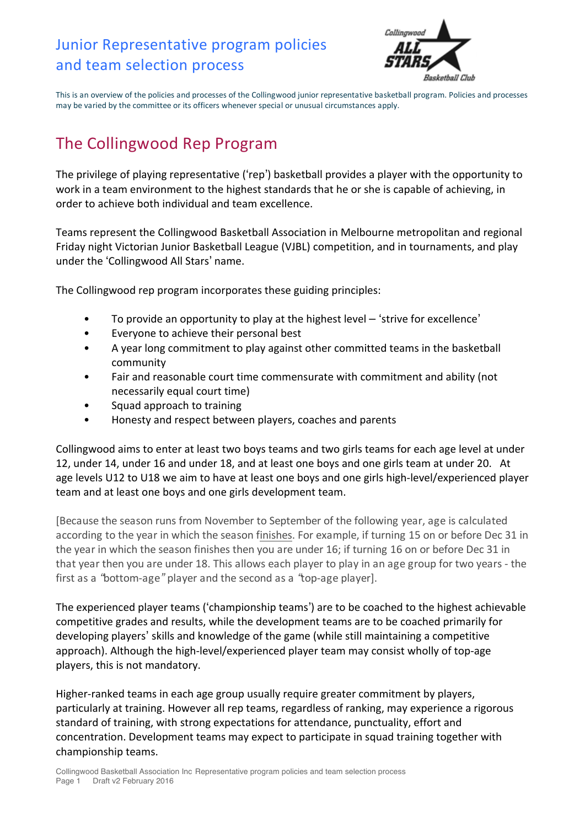## Junior Representative program policies and team selection process



This is an overview of the policies and processes of the Collingwood junior representative basketball program. Policies and processes may be varied by the committee or its officers whenever special or unusual circumstances apply.

# The Collingwood Rep Program

The privilege of playing representative ('rep') basketball provides a player with the opportunity to work in a team environment to the highest standards that he or she is capable of achieving, in order to achieve both individual and team excellence.

Teams represent the Collingwood Basketball Association in Melbourne metropolitan and regional Friday night Victorian Junior Basketball League (VJBL) competition, and in tournaments, and play under the 'Collingwood All Stars' name.

The Collingwood rep program incorporates these guiding principles:

- To provide an opportunity to play at the highest level 'strive for excellence'
- Everyone to achieve their personal best
- A year long commitment to play against other committed teams in the basketball community
- Fair and reasonable court time commensurate with commitment and ability (not necessarily equal court time)
- Squad approach to training
- Honesty and respect between players, coaches and parents

Collingwood aims to enter at least two boys teams and two girls teams for each age level at under 12, under 14, under 16 and under 18, and at least one boys and one girls team at under 20. At age levels U12 to U18 we aim to have at least one boys and one girls high-level/experienced player team and at least one boys and one girls development team.

[Because the season runs from November to September of the following year, age is calculated according to the year in which the season finishes. For example, if turning 15 on or before Dec 31 in the year in which the season finishes then you are under 16; if turning 16 on or before Dec 31 in that year then you are under 18. This allows each player to play in an age group for two years - the first as a "bottom-age" player and the second as a "top-age player].

The experienced player teams ('championship teams') are to be coached to the highest achievable competitive grades and results, while the development teams are to be coached primarily for developing players' skills and knowledge of the game (while still maintaining a competitive approach). Although the high-level/experienced player team may consist wholly of top-age players, this is not mandatory.

Higher-ranked teams in each age group usually require greater commitment by players, particularly at training. However all rep teams, regardless of ranking, may experience a rigorous standard of training, with strong expectations for attendance, punctuality, effort and concentration. Development teams may expect to participate in squad training together with championship teams.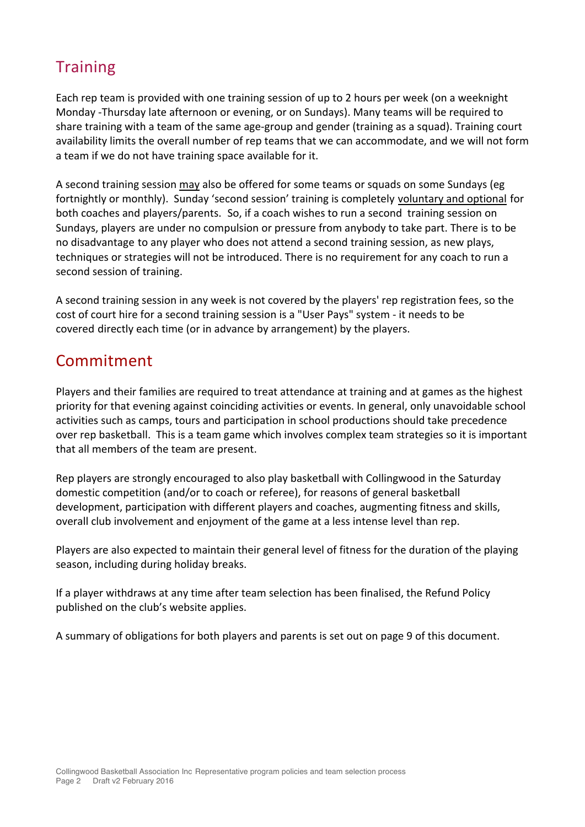# **Training**

Each rep team is provided with one training session of up to 2 hours per week (on a weeknight Monday -Thursday late afternoon or evening, or on Sundays). Many teams will be required to share training with a team of the same age-group and gender (training as a squad). Training court availability limits the overall number of rep teams that we can accommodate, and we will not form a team if we do not have training space available for it.

A second training session may also be offered for some teams or squads on some Sundays (eg fortnightly or monthly). Sunday 'second session' training is completely voluntary and optional for both coaches and players/parents. So, if a coach wishes to run a second training session on Sundays, players are under no compulsion or pressure from anybody to take part. There is to be no disadvantage to any player who does not attend a second training session, as new plays, techniques or strategies will not be introduced. There is no requirement for any coach to run a second session of training.

A second training session in any week is not covered by the players' rep registration fees, so the cost of court hire for a second training session is a "User Pays" system - it needs to be covered directly each time (or in advance by arrangement) by the players.

## Commitment

Players and their families are required to treat attendance at training and at games as the highest priority for that evening against coinciding activities or events. In general, only unavoidable school activities such as camps, tours and participation in school productions should take precedence over rep basketball. This is a team game which involves complex team strategies so it is important that all members of the team are present.

Rep players are strongly encouraged to also play basketball with Collingwood in the Saturday domestic competition (and/or to coach or referee), for reasons of general basketball development, participation with different players and coaches, augmenting fitness and skills, overall club involvement and enjoyment of the game at a less intense level than rep.

Players are also expected to maintain their general level of fitness for the duration of the playing season, including during holiday breaks.

If a player withdraws at any time after team selection has been finalised, the Refund Policy published on the club's website applies.

A summary of obligations for both players and parents is set out on page 9 of this document.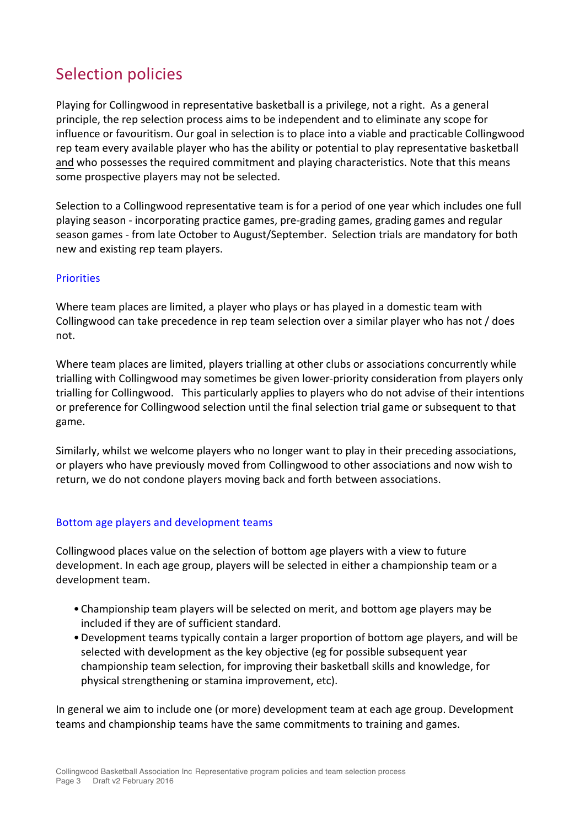# Selection policies

Playing for Collingwood in representative basketball is a privilege, not a right. As a general principle, the rep selection process aims to be independent and to eliminate any scope for influence or favouritism. Our goal in selection is to place into a viable and practicable Collingwood rep team every available player who has the ability or potential to play representative basketball and who possesses the required commitment and playing characteristics. Note that this means some prospective players may not be selected.

Selection to a Collingwood representative team is for a period of one year which includes one full playing season - incorporating practice games, pre-grading games, grading games and regular season games - from late October to August/September. Selection trials are mandatory for both new and existing rep team players.

### **Priorities**

Where team places are limited, a player who plays or has played in a domestic team with Collingwood can take precedence in rep team selection over a similar player who has not / does not. 

Where team places are limited, players trialling at other clubs or associations concurrently while trialling with Collingwood may sometimes be given lower-priority consideration from players only trialling for Collingwood. This particularly applies to players who do not advise of their intentions or preference for Collingwood selection until the final selection trial game or subsequent to that game.

Similarly, whilst we welcome players who no longer want to play in their preceding associations, or players who have previously moved from Collingwood to other associations and now wish to return, we do not condone players moving back and forth between associations.

### Bottom age players and development teams

Collingwood places value on the selection of bottom age players with a view to future development. In each age group, players will be selected in either a championship team or a development team.

- Championship team players will be selected on merit, and bottom age players may be included if they are of sufficient standard.
- Development teams typically contain a larger proportion of bottom age players, and will be selected with development as the key objective (eg for possible subsequent year championship team selection, for improving their basketball skills and knowledge, for physical strengthening or stamina improvement, etc).

In general we aim to include one (or more) development team at each age group. Development teams and championship teams have the same commitments to training and games.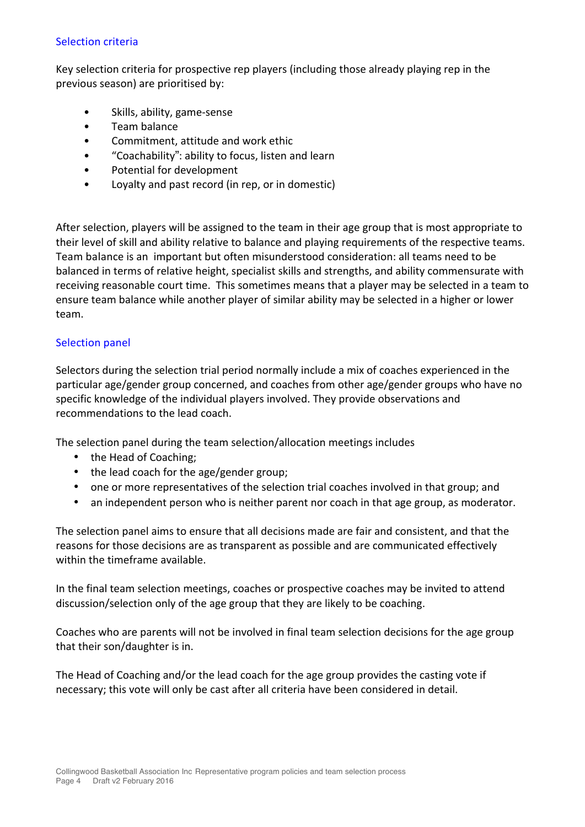#### Selection criteria

Key selection criteria for prospective rep players (including those already playing rep in the previous season) are prioritised by:

- Skills, ability, game-sense
- Team balance
- Commitment, attitude and work ethic
- "Coachability": ability to focus, listen and learn
- Potential for development
- Loyalty and past record (in rep, or in domestic)

After selection, players will be assigned to the team in their age group that is most appropriate to their level of skill and ability relative to balance and playing requirements of the respective teams. Team balance is an important but often misunderstood consideration: all teams need to be balanced in terms of relative height, specialist skills and strengths, and ability commensurate with receiving reasonable court time. This sometimes means that a player may be selected in a team to ensure team balance while another player of similar ability may be selected in a higher or lower team.

#### Selection panel

Selectors during the selection trial period normally include a mix of coaches experienced in the particular age/gender group concerned, and coaches from other age/gender groups who have no specific knowledge of the individual players involved. They provide observations and recommendations to the lead coach.

The selection panel during the team selection/allocation meetings includes

- the Head of Coaching;
- the lead coach for the age/gender group;
- one or more representatives of the selection trial coaches involved in that group; and
- an independent person who is neither parent nor coach in that age group, as moderator.

The selection panel aims to ensure that all decisions made are fair and consistent, and that the reasons for those decisions are as transparent as possible and are communicated effectively within the timeframe available.

In the final team selection meetings, coaches or prospective coaches may be invited to attend discussion/selection only of the age group that they are likely to be coaching.

Coaches who are parents will not be involved in final team selection decisions for the age group that their son/daughter is in.

The Head of Coaching and/or the lead coach for the age group provides the casting vote if necessary; this vote will only be cast after all criteria have been considered in detail.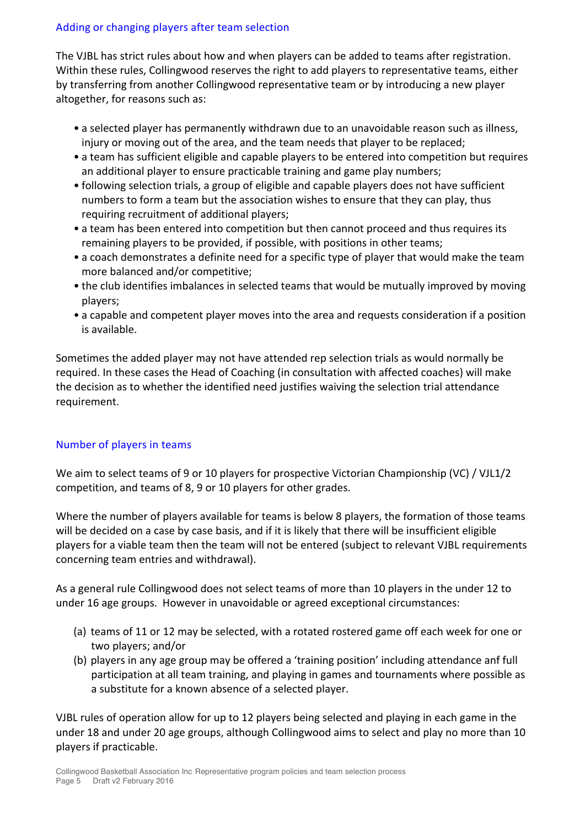### Adding or changing players after team selection

The VJBL has strict rules about how and when players can be added to teams after registration. Within these rules, Collingwood reserves the right to add players to representative teams, either by transferring from another Collingwood representative team or by introducing a new player altogether, for reasons such as:

- a selected player has permanently withdrawn due to an unavoidable reason such as illness, injury or moving out of the area, and the team needs that player to be replaced;
- a team has sufficient eligible and capable players to be entered into competition but requires an additional player to ensure practicable training and game play numbers;
- following selection trials, a group of eligible and capable players does not have sufficient numbers to form a team but the association wishes to ensure that they can play, thus requiring recruitment of additional players;
- a team has been entered into competition but then cannot proceed and thus requires its remaining players to be provided, if possible, with positions in other teams;
- a coach demonstrates a definite need for a specific type of player that would make the team more balanced and/or competitive;
- the club identifies imbalances in selected teams that would be mutually improved by moving players;
- a capable and competent player moves into the area and requests consideration if a position is available.

Sometimes the added player may not have attended rep selection trials as would normally be required. In these cases the Head of Coaching (in consultation with affected coaches) will make the decision as to whether the identified need justifies waiving the selection trial attendance requirement.

### Number of players in teams

We aim to select teams of 9 or 10 players for prospective Victorian Championship (VC) / VJL1/2 competition, and teams of 8, 9 or 10 players for other grades.

Where the number of players available for teams is below 8 players, the formation of those teams will be decided on a case by case basis, and if it is likely that there will be insufficient eligible players for a viable team then the team will not be entered (subject to relevant VJBL requirements concerning team entries and withdrawal).

As a general rule Collingwood does not select teams of more than 10 players in the under 12 to under 16 age groups. However in unavoidable or agreed exceptional circumstances:

- (a) teams of 11 or 12 may be selected, with a rotated rostered game off each week for one or two players; and/or
- (b) players in any age group may be offered a 'training position' including attendance anf full participation at all team training, and playing in games and tournaments where possible as a substitute for a known absence of a selected player.

VJBL rules of operation allow for up to 12 players being selected and playing in each game in the under 18 and under 20 age groups, although Collingwood aims to select and play no more than 10 players if practicable.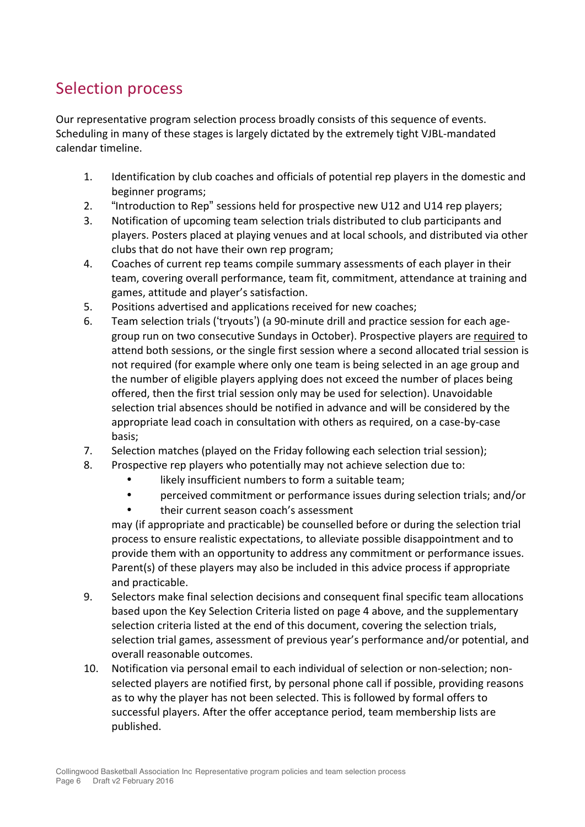# Selection process

Our representative program selection process broadly consists of this sequence of events. Scheduling in many of these stages is largely dictated by the extremely tight VJBL-mandated calendar timeline.

- 1. Identification by club coaches and officials of potential rep players in the domestic and beginner programs;
- 2. "Introduction to Rep" sessions held for prospective new U12 and U14 rep players;
- 3. Notification of upcoming team selection trials distributed to club participants and players. Posters placed at playing venues and at local schools, and distributed via other clubs that do not have their own rep program;
- 4. Coaches of current rep teams compile summary assessments of each player in their team, covering overall performance, team fit, commitment, attendance at training and games, attitude and player's satisfaction.
- 5. Positions advertised and applications received for new coaches;
- 6. Team selection trials ('tryouts') (a 90-minute drill and practice session for each agegroup run on two consecutive Sundays in October). Prospective players are required to attend both sessions, or the single first session where a second allocated trial session is not required (for example where only one team is being selected in an age group and the number of eligible players applying does not exceed the number of places being offered, then the first trial session only may be used for selection). Unavoidable selection trial absences should be notified in advance and will be considered by the appropriate lead coach in consultation with others as required, on a case-by-case basis;
- 7. Selection matches (played on the Friday following each selection trial session);
- 8. Prospective rep players who potentially may not achieve selection due to:
	- likely insufficient numbers to form a suitable team;
	- perceived commitment or performance issues during selection trials; and/or
	- their current season coach's assessment

may (if appropriate and practicable) be counselled before or during the selection trial process to ensure realistic expectations, to alleviate possible disappointment and to provide them with an opportunity to address any commitment or performance issues. Parent(s) of these players may also be included in this advice process if appropriate and practicable.

- 9. Selectors make final selection decisions and consequent final specific team allocations based upon the Key Selection Criteria listed on page 4 above, and the supplementary selection criteria listed at the end of this document, covering the selection trials, selection trial games, assessment of previous year's performance and/or potential, and overall reasonable outcomes.
- 10. Notification via personal email to each individual of selection or non-selection; nonselected players are notified first, by personal phone call if possible, providing reasons as to why the player has not been selected. This is followed by formal offers to successful players. After the offer acceptance period, team membership lists are published.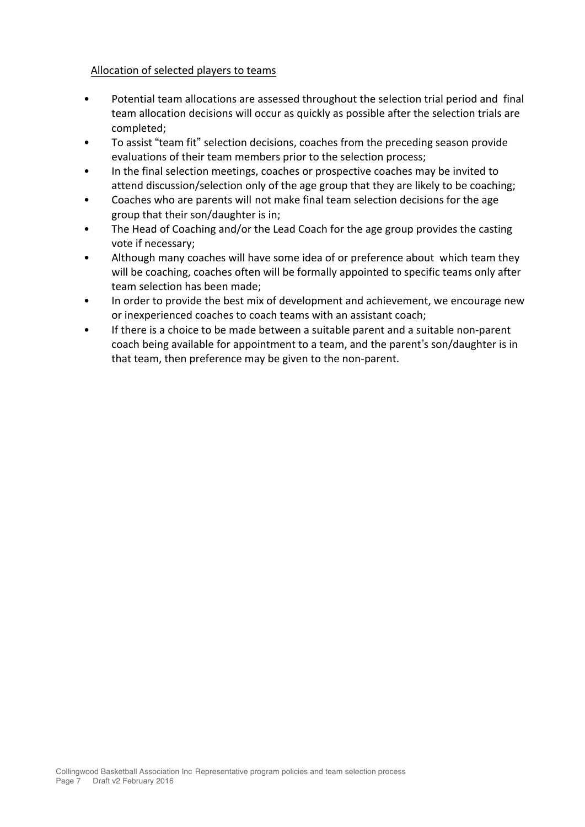#### Allocation of selected players to teams

- Potential team allocations are assessed throughout the selection trial period and final team allocation decisions will occur as quickly as possible after the selection trials are completed;
- To assist "team fit" selection decisions, coaches from the preceding season provide evaluations of their team members prior to the selection process;
- In the final selection meetings, coaches or prospective coaches may be invited to attend discussion/selection only of the age group that they are likely to be coaching;
- Coaches who are parents will not make final team selection decisions for the age group that their son/daughter is in;
- The Head of Coaching and/or the Lead Coach for the age group provides the casting vote if necessary;
- Although many coaches will have some idea of or preference about which team they will be coaching, coaches often will be formally appointed to specific teams only after team selection has been made:
- In order to provide the best mix of development and achievement, we encourage new or inexperienced coaches to coach teams with an assistant coach;
- If there is a choice to be made between a suitable parent and a suitable non-parent coach being available for appointment to a team, and the parent's son/daughter is in that team, then preference may be given to the non-parent.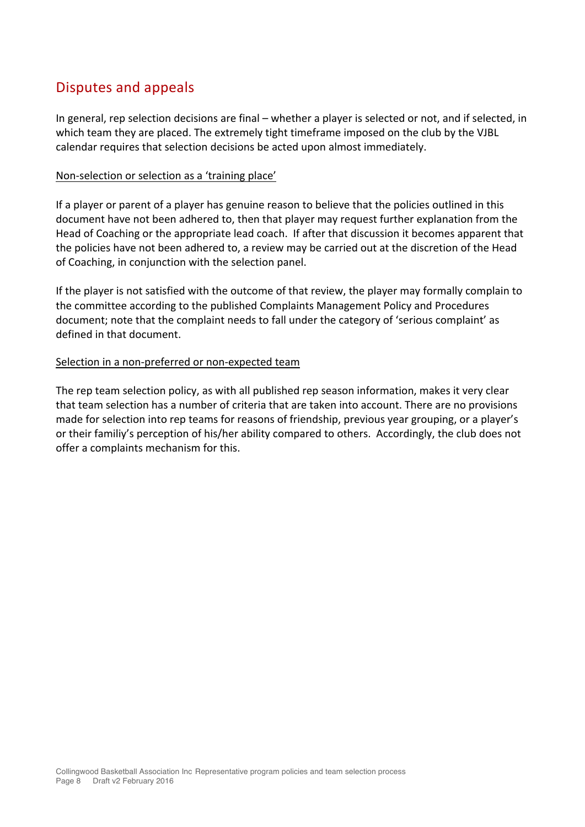### Disputes and appeals

In general, rep selection decisions are final – whether a player is selected or not, and if selected, in which team they are placed. The extremely tight timeframe imposed on the club by the VJBL calendar requires that selection decisions be acted upon almost immediately.

#### Non-selection or selection as a 'training place'

If a player or parent of a player has genuine reason to believe that the policies outlined in this document have not been adhered to, then that player may request further explanation from the Head of Coaching or the appropriate lead coach. If after that discussion it becomes apparent that the policies have not been adhered to, a review may be carried out at the discretion of the Head of Coaching, in conjunction with the selection panel.

If the player is not satisfied with the outcome of that review, the player may formally complain to the committee according to the published Complaints Management Policy and Procedures document; note that the complaint needs to fall under the category of 'serious complaint' as defined in that document.

#### Selection in a non-preferred or non-expected team

The rep team selection policy, as with all published rep season information, makes it very clear that team selection has a number of criteria that are taken into account. There are no provisions made for selection into rep teams for reasons of friendship, previous year grouping, or a player's or their familiy's perception of his/her ability compared to others. Accordingly, the club does not offer a complaints mechanism for this.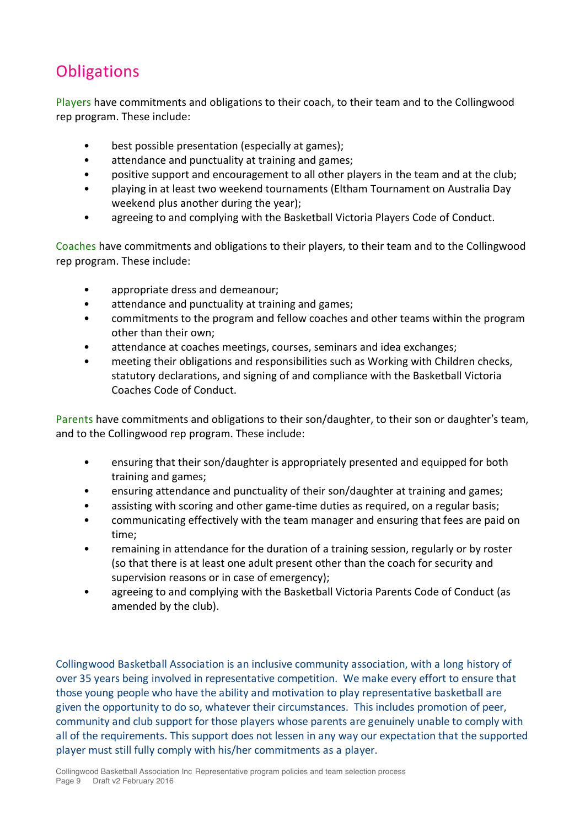# **Obligations**

Players have commitments and obligations to their coach, to their team and to the Collingwood rep program. These include:

- best possible presentation (especially at games);
- attendance and punctuality at training and games;
- positive support and encouragement to all other players in the team and at the club;
- playing in at least two weekend tournaments (Eltham Tournament on Australia Day weekend plus another during the year);
- agreeing to and complying with the Basketball Victoria Players Code of Conduct.

Coaches have commitments and obligations to their players, to their team and to the Collingwood rep program. These include:

- appropriate dress and demeanour;
- attendance and punctuality at training and games;
- commitments to the program and fellow coaches and other teams within the program other than their own;
- attendance at coaches meetings, courses, seminars and idea exchanges;
- meeting their obligations and responsibilities such as Working with Children checks, statutory declarations, and signing of and compliance with the Basketball Victoria Coaches Code of Conduct.

Parents have commitments and obligations to their son/daughter, to their son or daughter's team, and to the Collingwood rep program. These include:

- ensuring that their son/daughter is appropriately presented and equipped for both training and games;
- ensuring attendance and punctuality of their son/daughter at training and games;
- assisting with scoring and other game-time duties as required, on a regular basis;
- communicating effectively with the team manager and ensuring that fees are paid on time;
- remaining in attendance for the duration of a training session, regularly or by roster (so that there is at least one adult present other than the coach for security and supervision reasons or in case of emergency);
- agreeing to and complying with the Basketball Victoria Parents Code of Conduct (as amended by the club).

Collingwood Basketball Association is an inclusive community association, with a long history of over 35 years being involved in representative competition. We make every effort to ensure that those young people who have the ability and motivation to play representative basketball are given the opportunity to do so, whatever their circumstances. This includes promotion of peer, community and club support for those players whose parents are genuinely unable to comply with all of the requirements. This support does not lessen in any way our expectation that the supported player must still fully comply with his/her commitments as a player.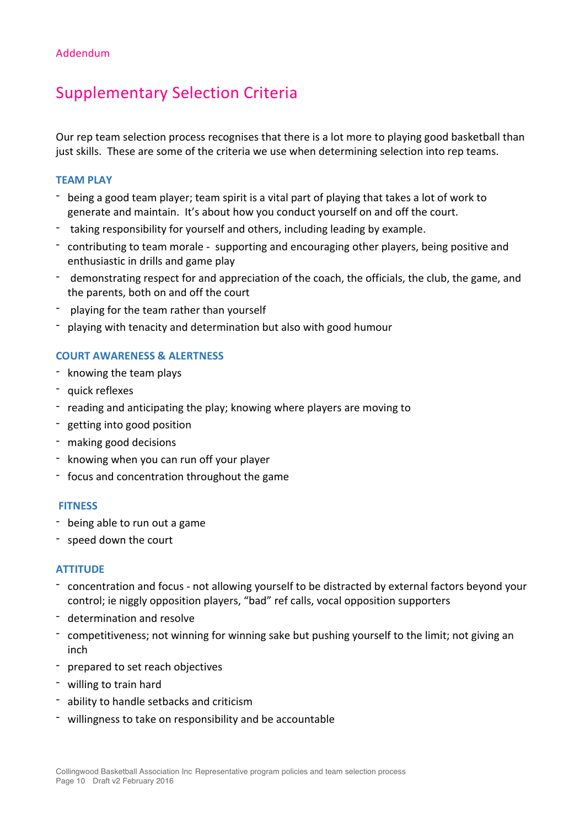## Supplementary Selection Criteria

Our rep team selection process recognises that there is a lot more to playing good basketball than just skills. These are some of the criteria we use when determining selection into rep teams.

#### **TEAM PLAY**

- being a good team player; team spirit is a vital part of playing that takes a lot of work to generate and maintain. It's about how you conduct yourself on and off the court.
- taking responsibility for yourself and others, including leading by example.
- contributing to team morale supporting and encouraging other players, being positive and enthusiastic in drills and game play
- demonstrating respect for and appreciation of the coach, the officials, the club, the game, and the parents, both on and off the court
- playing for the team rather than yourself
- playing with tenacity and determination but also with good humour

### **COURT AWARENESS & ALERTNESS**

- knowing the team plays
- quick reflexes
- reading and anticipating the play; knowing where players are moving to
- getting into good position
- making good decisions
- knowing when you can run off your player
- focus and concentration throughout the game

#### **FITNESS**

- being able to run out a game
- speed down the court

#### **ATTITUDE**

- concentration and focus not allowing vourself to be distracted by external factors beyond your control; ie niggly opposition players, "bad" ref calls, vocal opposition supporters
- determination and resolve
- competitiveness; not winning for winning sake but pushing yourself to the limit; not giving an inch
- prepared to set reach objectives
- willing to train hard
- ability to handle setbacks and criticism
- willingness to take on responsibility and be accountable